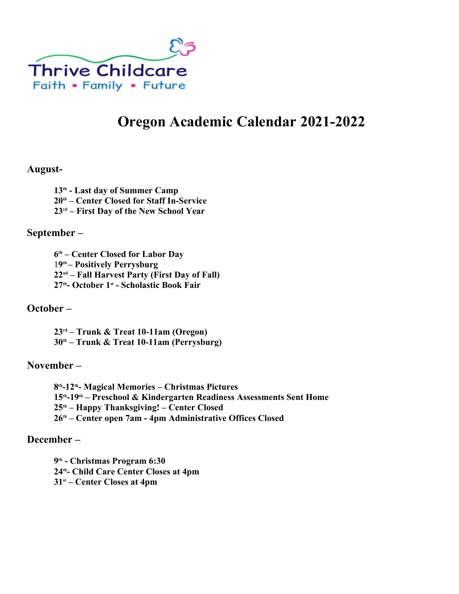

# **Oregon Academic Calendar 2021-2022**

### **August-**

**th - Last day of Summer Camp th – Center Closed for Staff In-Service rd – First Day of the New School Year** 

#### **September –**

 **th – Center Closed for Labor Day 9 th – Positively Perrysburg nd – Fall Harvest Party (First Day of Fall) th- October 1st - Scholastic Book Fair**

### **October –**

**rd – Trunk & Treat 10-11am (Oregon) th – Trunk & Treat 10-11am (Perrysburg)**

### **November –**

 **th-12th- Magical Memories – Christmas Pictures th-19th – Preschool & Kindergarten Readiness Assessments Sent Home th – Happy Thanksgiving! – Center Closed th – Center open 7am - 4pm Administrative Offices Closed**

#### **December –**

 **th - Christmas Program 6:30 th- Child Care Center Closes at 4pm st – Center Closes at 4pm**